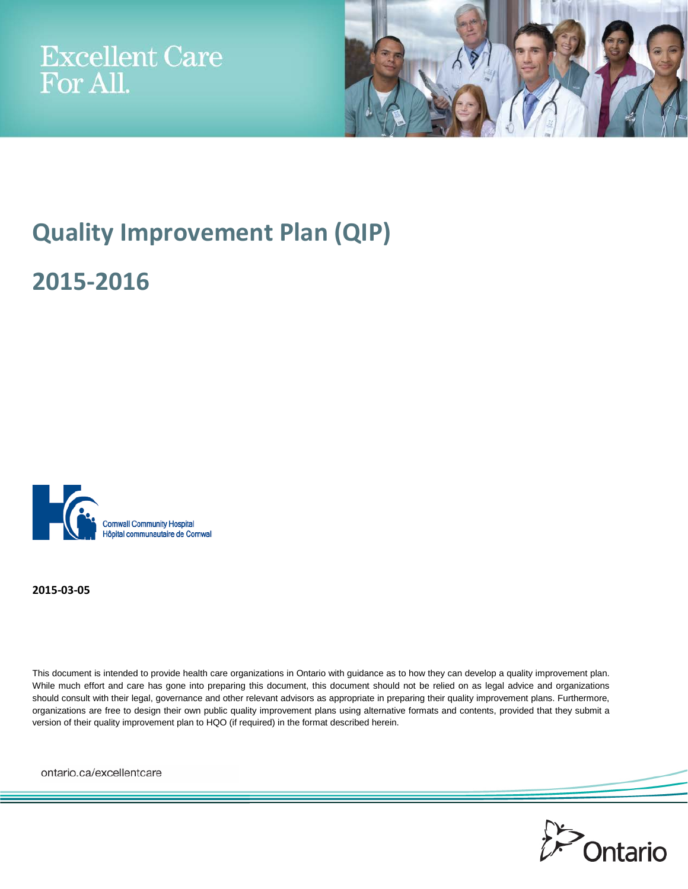



# **Quality Improvement Plan (QIP)**

**2015-2016**



**2015-03-05**

This document is intended to provide health care organizations in Ontario with guidance as to how they can develop a quality improvement plan. While much effort and care has gone into preparing this document, this document should not be relied on as legal advice and organizations should consult with their legal, governance and other relevant advisors as appropriate in preparing their quality improvement plans. Furthermore, organizations are free to design their own public quality improvement plans using alternative formats and contents, provided that they submit a version of their quality improvement plan to HQO (if required) in the format described herein.

ontario.ca/excellentcare

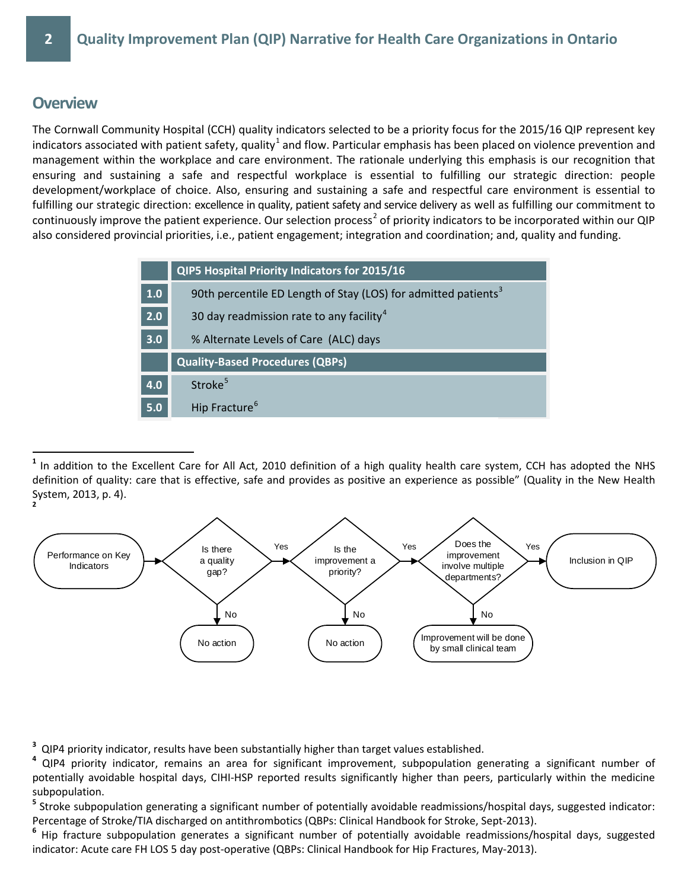### **Overview**

The Cornwall Community Hospital (CCH) quality indicators selected to be a priority focus for the 2015/16 QIP represent key indicators associated with patient safety, quality<sup>[1](#page-2-0)</sup> and flow. Particular emphasis has been placed on violence prevention and management within the workplace and care environment. The rationale underlying this emphasis is our recognition that ensuring and sustaining a safe and respectful workplace is essential to fulfilling our strategic direction: people development/workplace of choice. Also, ensuring and sustaining a safe and respectful care environment is essential to fulfilling our strategic direction: excellence in quality, patient safety and service delivery as well as fulfilling our commitment to continuously improve the patient experience. Our selection process<sup>[2](#page-2-1)</sup> of priority indicators to be incorporated within our QIP also considered provincial priorities, i.e., patient engagement; integration and coordination; and, quality and funding.

|     | QIP5 Hospital Priority Indicators for 2015/16                              |
|-----|----------------------------------------------------------------------------|
| 1.0 | 90th percentile ED Length of Stay (LOS) for admitted patients <sup>3</sup> |
| 2.0 | 30 day readmission rate to any facility <sup>4</sup>                       |
| 3.0 | % Alternate Levels of Care (ALC) days                                      |
|     | <b>Quality-Based Procedures (QBPs)</b>                                     |
| 4.0 | Stroke <sup>5</sup>                                                        |
| 5.0 | Hip Fracture <sup>6</sup>                                                  |

<span id="page-2-0"></span>**<sup>1</sup>** In addition to the Excellent Care for All Act, 2010 definition of a high quality health care system, CCH has adopted the NHS definition of quality: care that is effective, safe and provides as positive an experience as possible" (Quality in the New Health System, 2013, p. 4).

<span id="page-2-1"></span>

<span id="page-2-3"></span><span id="page-2-2"></span><sup>3</sup> QIP4 priority indicator, results have been substantially higher than target values established.<br><sup>4</sup> QIP4 priority indicator, remains an area for significant improvement, subpopulation generating a significant number o potentially avoidable hospital days, CIHI-HSP reported results significantly higher than peers, particularly within the medicine subpopulation.

<span id="page-2-4"></span>**<sup>5</sup>** Stroke subpopulation generating a significant number of potentially avoidable readmissions/hospital days, suggested indicator: Percentage of Stroke/TIA discharged on antithrombotics (QBPs: Clinical Handbook for Stroke, Sept-2013).

<span id="page-2-5"></span>**<sup>6</sup>** Hip fracture subpopulation generates a significant number of potentially avoidable readmissions/hospital days, suggested indicator: Acute care FH LOS 5 day post-operative (QBPs: Clinical Handbook for Hip Fractures, May-2013).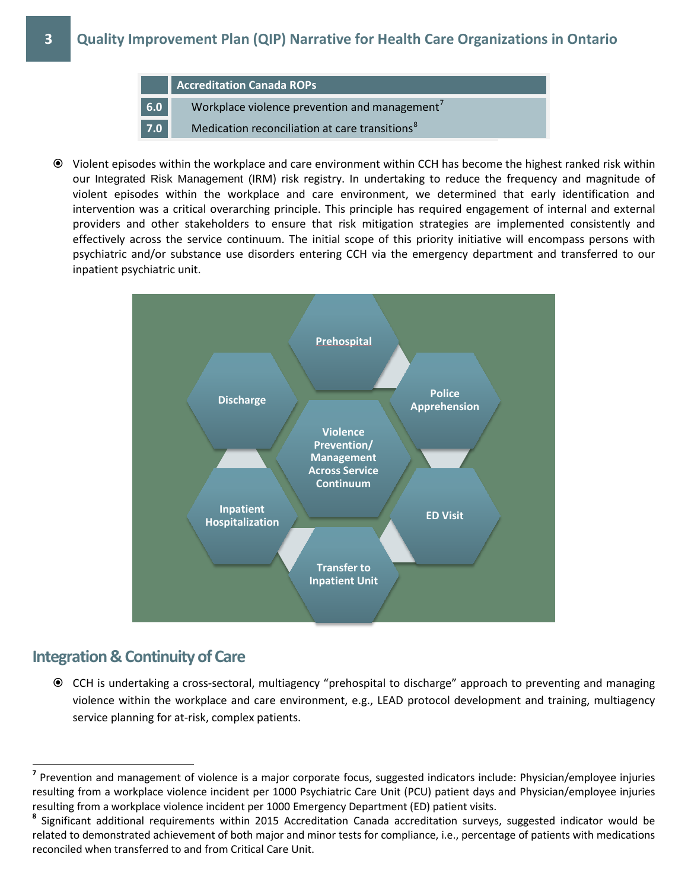

 Violent episodes within the workplace and care environment within CCH has become the highest ranked risk within our Integrated Risk Management (IRM) risk registry. In undertaking to reduce the frequency and magnitude of violent episodes within the workplace and care environment, we determined that early identification and intervention was a critical overarching principle. This principle has required engagement of internal and external providers and other stakeholders to ensure that risk mitigation strategies are implemented consistently and effectively across the service continuum. The initial scope of this priority initiative will encompass persons with psychiatric and/or substance use disorders entering CCH via the emergency department and transferred to our inpatient psychiatric unit.



### **Integration & Continuity of Care**

 CCH is undertaking a cross-sectoral, multiagency "prehospital to discharge" approach to preventing and managing violence within the workplace and care environment, e.g., LEAD protocol development and training, multiagency service planning for at-risk, complex patients.

<span id="page-3-0"></span>**<sup>7</sup>** Prevention and management of violence is a major corporate focus, suggested indicators include: Physician/employee injuries resulting from a workplace violence incident per 1000 Psychiatric Care Unit (PCU) patient days and Physician/employee injuries resulting from a workplace violence incident per 1000 Emergency Department (ED) patient visits.

<span id="page-3-1"></span>**<sup>8</sup>** Significant additional requirements within 2015 Accreditation Canada accreditation surveys, suggested indicator would be related to demonstrated achievement of both major and minor tests for compliance, i.e., percentage of patients with medications reconciled when transferred to and from Critical Care Unit.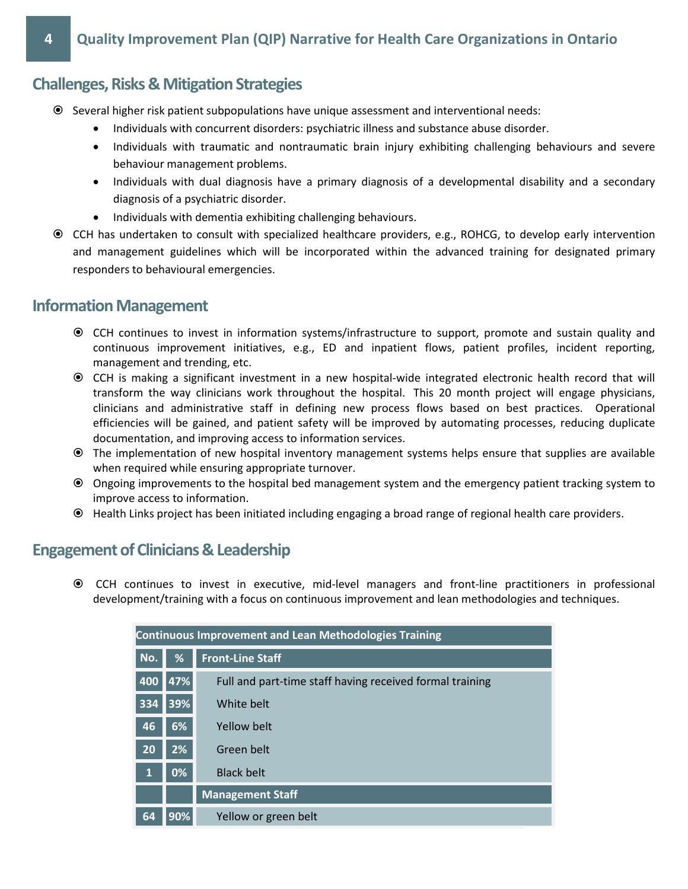## **Challenges, Risks & Mitigation Strategies**

- Several higher risk patient subpopulations have unique assessment and interventional needs:
	- Individuals with concurrent disorders: psychiatric illness and substance abuse disorder.
	- Individuals with traumatic and nontraumatic brain injury exhibiting challenging behaviours and severe behaviour management problems.
	- Individuals with dual diagnosis have a primary diagnosis of a developmental disability and a secondary diagnosis of a psychiatric disorder.
	- Individuals with dementia exhibiting challenging behaviours.
- CCH has undertaken to consult with specialized healthcare providers, e.g., ROHCG, to develop early intervention and management guidelines which will be incorporated within the advanced training for designated primary responders to behavioural emergencies.

### **Information Management**

- CCH continues to invest in information systems/infrastructure to support, promote and sustain quality and continuous improvement initiatives, e.g., ED and inpatient flows, patient profiles, incident reporting, management and trending, etc.
- CCH is making a significant investment in a new hospital-wide integrated electronic health record that will transform the way clinicians work throughout the hospital. This 20 month project will engage physicians, clinicians and administrative staff in defining new process flows based on best practices. Operational efficiencies will be gained, and patient safety will be improved by automating processes, reducing duplicate documentation, and improving access to information services.
- The implementation of new hospital inventory management systems helps ensure that supplies are available when required while ensuring appropriate turnover.
- Ongoing improvements to the hospital bed management system and the emergency patient tracking system to improve access to information.
- Health Links project has been initiated including engaging a broad range of regional health care providers.

## **Engagement of Clinicians & Leadership**

 CCH continues to invest in executive, mid-level managers and front-line practitioners in professional development/training with a focus on continuous improvement and lean methodologies and techniques.

|           |     | <b>Continuous Improvement and Lean Methodologies Training</b> |
|-----------|-----|---------------------------------------------------------------|
| No.       | %   | <b>Front-Line Staff</b>                                       |
| 400       | 47% | Full and part-time staff having received formal training      |
| 334       | 39% | White belt                                                    |
| 46        | 6%  | Yellow belt                                                   |
| <b>20</b> | 2%  | Green belt                                                    |
| 1         | 0%  | <b>Black belt</b>                                             |
|           |     | <b>Management Staff</b>                                       |
| 64        | 90% | Yellow or green belt                                          |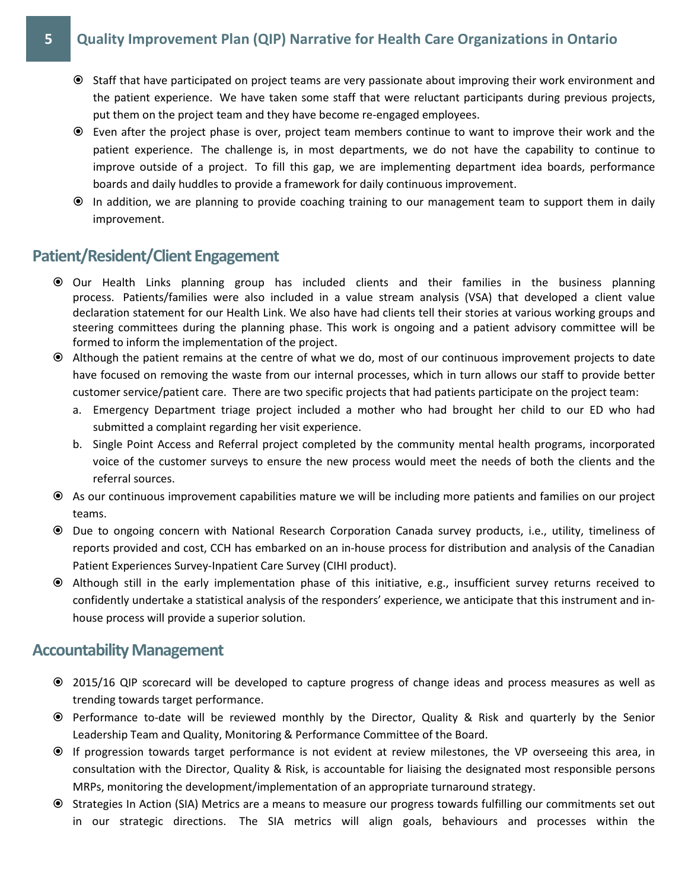### **5 Quality Improvement Plan (QIP) Narrative for Health Care Organizations in Ontario**

- Staff that have participated on project teams are very passionate about improving their work environment and the patient experience. We have taken some staff that were reluctant participants during previous projects, put them on the project team and they have become re-engaged employees.
- Even after the project phase is over, project team members continue to want to improve their work and the patient experience. The challenge is, in most departments, we do not have the capability to continue to improve outside of a project. To fill this gap, we are implementing department idea boards, performance boards and daily huddles to provide a framework for daily continuous improvement.
- In addition, we are planning to provide coaching training to our management team to support them in daily improvement.

### **Patient/Resident/Client Engagement**

- Our Health Links planning group has included clients and their families in the business planning process. Patients/families were also included in a value stream analysis (VSA) that developed a client value declaration statement for our Health Link. We also have had clients tell their stories at various working groups and steering committees during the planning phase. This work is ongoing and a patient advisory committee will be formed to inform the implementation of the project.
- Although the patient remains at the centre of what we do, most of our continuous improvement projects to date have focused on removing the waste from our internal processes, which in turn allows our staff to provide better customer service/patient care. There are two specific projects that had patients participate on the project team:
	- a. Emergency Department triage project included a mother who had brought her child to our ED who had submitted a complaint regarding her visit experience.
	- b. Single Point Access and Referral project completed by the community mental health programs, incorporated voice of the customer surveys to ensure the new process would meet the needs of both the clients and the referral sources.
- As our continuous improvement capabilities mature we will be including more patients and families on our project teams.
- Due to ongoing concern with National Research Corporation Canada survey products, i.e., utility, timeliness of reports provided and cost, CCH has embarked on an in-house process for distribution and analysis of the Canadian Patient Experiences Survey-Inpatient Care Survey (CIHI product).
- Although still in the early implementation phase of this initiative, e.g., insufficient survey returns received to confidently undertake a statistical analysis of the responders' experience, we anticipate that this instrument and inhouse process will provide a superior solution.

### **Accountability Management**

- 2015/16 QIP scorecard will be developed to capture progress of change ideas and process measures as well as trending towards target performance.
- Performance to-date will be reviewed monthly by the Director, Quality & Risk and quarterly by the Senior Leadership Team and Quality, Monitoring & Performance Committee of the Board.
- If progression towards target performance is not evident at review milestones, the VP overseeing this area, in consultation with the Director, Quality & Risk, is accountable for liaising the designated most responsible persons MRPs, monitoring the development/implementation of an appropriate turnaround strategy.
- Strategies In Action (SIA) Metrics are a means to measure our progress towards fulfilling our commitments set out in our strategic directions. The SIA metrics will align goals, behaviours and processes within the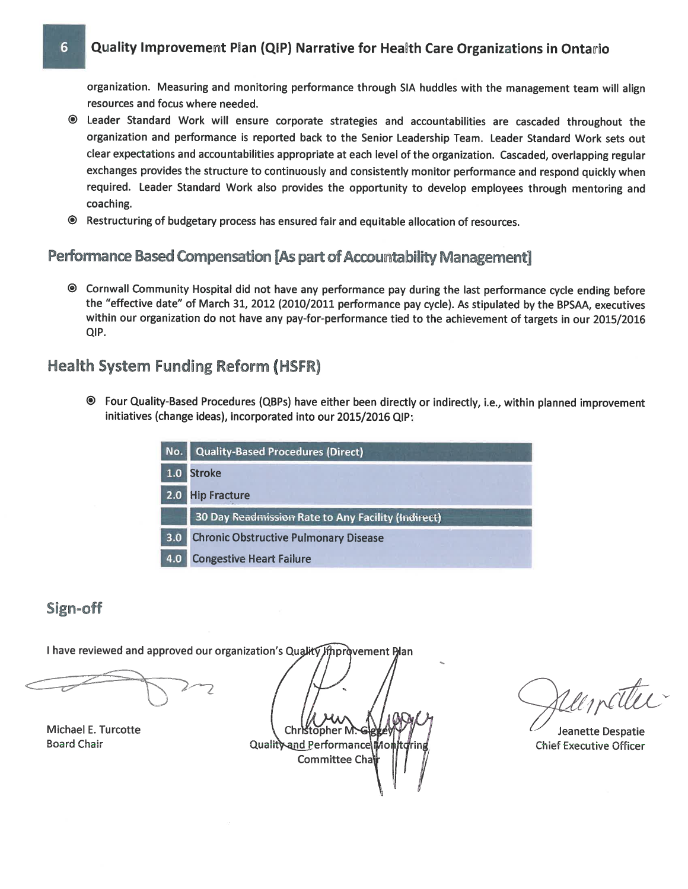#### Quality Improvement Plan (QIP) Narrative for Health Care Organizations in Ontario

organization. Measuring and monitoring performance through SIA huddles with the management team will align resources and focus where needed.

- <sup>®</sup> Leader Standard Work will ensure corporate strategies and accountabilities are cascaded throughout the organization and performance is reported back to the Senior Leadership Team. Leader Standard Work sets out clear expectations and accountabilities appropriate at each level of the organization. Cascaded, overlapping regular exchanges provides the structure to continuously and consistently monitor performance and respond quickly when required. Leader Standard Work also provides the opportunity to develop employees through mentoring and coaching.
- <sup>®</sup> Restructuring of budgetary process has ensured fair and equitable allocation of resources.

## Performance Based Compensation [As part of Accountability Management]

© Cornwall Community Hospital did not have any performance pay during the last performance cycle ending before the "effective date" of March 31, 2012 (2010/2011 performance pay cycle). As stipulated by the BPSAA, executives within our organization do not have any pay-for-performance tied to the achievement of targets in our 2015/2016 QIP.

### **Health System Funding Reform (HSFR)**

<sup>●</sup> Four Quality-Based Procedures (QBPs) have either been directly or indirectly, i.e., within planned improvement initiatives (change ideas), incorporated into our 2015/2016 QIP:

| No. | <b>Quality-Based Procedures (Direct)</b>           |
|-----|----------------------------------------------------|
| 1.0 | <b>Stroke</b>                                      |
| 2.0 | <b>Hip Fracture</b>                                |
|     | 30 Day Readmission Rate to Any Facility (Indirect) |
| 3.0 | <b>Chronic Obstructive Pulmonary Disease</b>       |
| 4.0 | <b>Congestive Heart Failure</b>                    |

### Sign-off

6

I have reviewed and approved our organization's Quality Improvement Plan

Michael E. Turcotte **Board Chair** 

Christopher M.G Quality and Performance Mont Committee Cha

Uncitri

Jeanette Despatie **Chief Executive Officer**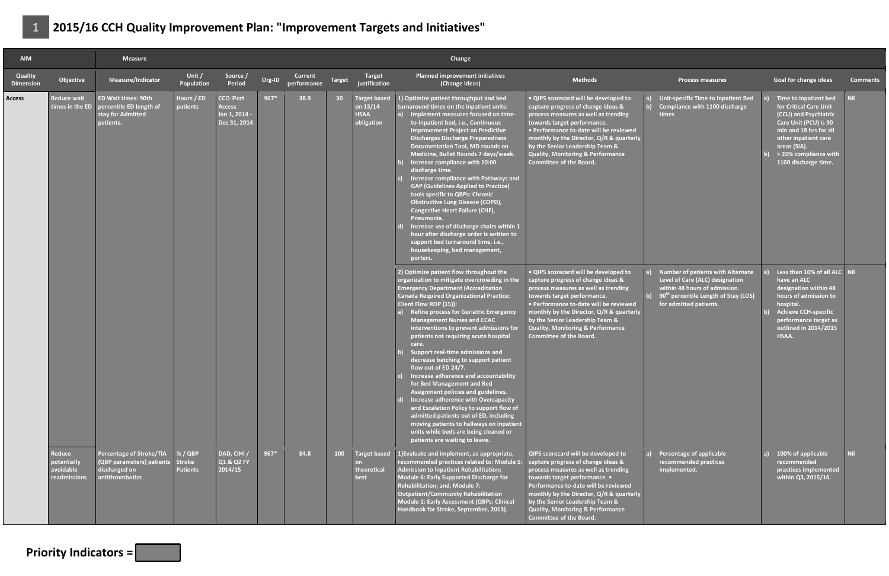| <b>AIM</b>                  |                                                    | <b>Measure</b>                                                                                   |                                             |                                                                    |        |                        |                 |                                                              | Change                                                                                                                                                                                                                                                                                                                                                                                                                                                                                                                                                                                                                                                                                                                                                                                                                                                                       |                                                                                                                                                                                                                                                                                                                                                               |                                                                                                                                                                                     |                                                                                                                                                                                                                                    |                 |
|-----------------------------|----------------------------------------------------|--------------------------------------------------------------------------------------------------|---------------------------------------------|--------------------------------------------------------------------|--------|------------------------|-----------------|--------------------------------------------------------------|------------------------------------------------------------------------------------------------------------------------------------------------------------------------------------------------------------------------------------------------------------------------------------------------------------------------------------------------------------------------------------------------------------------------------------------------------------------------------------------------------------------------------------------------------------------------------------------------------------------------------------------------------------------------------------------------------------------------------------------------------------------------------------------------------------------------------------------------------------------------------|---------------------------------------------------------------------------------------------------------------------------------------------------------------------------------------------------------------------------------------------------------------------------------------------------------------------------------------------------------------|-------------------------------------------------------------------------------------------------------------------------------------------------------------------------------------|------------------------------------------------------------------------------------------------------------------------------------------------------------------------------------------------------------------------------------|-----------------|
| Quality<br><b>Dimension</b> | Objective                                          | Measure/Indicator                                                                                | Unit /<br>Population                        | Source /<br>Period                                                 | Org-ID | Current<br>performance | <b>Target</b>   | Target<br>justification                                      | Planned improvement initiatives<br>(Change Ideas)                                                                                                                                                                                                                                                                                                                                                                                                                                                                                                                                                                                                                                                                                                                                                                                                                            | <b>Methods</b>                                                                                                                                                                                                                                                                                                                                                | <b>Process measures</b>                                                                                                                                                             | <b>Goal for change ideas</b>                                                                                                                                                                                                       | <b>Comments</b> |
| Access                      | <b>Reduce wait</b><br>times in the $ED$            | <b>ED Wait times: 90th</b><br>percentile ED length of<br>stay for Admitted<br>patients.          | Hours / ED<br>patients                      | <b>CCO iPort</b><br><b>Access</b><br>Jan 1, 2014 -<br>Dec 31, 2014 | $967*$ | 38.9                   | 30 <sup>°</sup> | <b>Target based</b><br>on 13/14<br><b>HSAA</b><br>obligation | 1) Optimize patient throughput and bed<br>turnaround times on the inpatient units:<br>Implement measures focused on time-<br>to-inpatient bed, i.e., Continuous<br><b>Improvement Project on Predictive</b><br><b>Discharges Discharge Preparedness</b><br>Documentation Tool, MD rounds on<br>Medicine, Bullet Rounds 7 days/week.<br>Increase compliance with 10:00<br>discharge time.<br>Increase compliance with Pathways and<br><b>GAP (Guidelines Applied to Practice)</b><br>tools specific to QBPs: Chronic<br><b>Obstructive Lung Disease (COPD),</b><br><b>Congestive Heart Failure (CHF),</b><br>Pneumonia.<br>Increase use of discharge chairs within 1<br>hour after discharge order is written to<br>support bed turnaround time, i.e.,<br>housekeeping, bed management,<br>porters.                                                                           | • QIP5 scorecard will be developed to<br>capture progress of change ideas &<br>process measures as well as trending<br>towards target performance.<br>• Performance to-date will be reviewed<br>monthly by the Director, Q/R & quarterly<br>by the Senior Leadership Team &<br><b>Quality, Monitoring &amp; Performance</b><br><b>Committee of the Board.</b> | Unit-specific Time to Inpatient Bed<br>Compliance with 1100 discharge<br>times                                                                                                      | Time to inpatient bed<br>for Critical Care Unit<br>(CCU) and Psychiatric<br>Care Unit (PCU) is 90<br>min and 18 hrs for all<br>other inpatient care<br>areas (SIA).<br>$\frac{1}{2}$ > 35% compliance with<br>1100 discharge time. | <b>Nil</b>      |
|                             |                                                    |                                                                                                  |                                             |                                                                    |        |                        |                 |                                                              | 2) Optimize patient flow throughout the<br>organization to mitigate overcrowding in the<br><b>Emergency Department (Accreditation</b><br><b>Canada Required Organizational Practice:</b><br>Client Flow ROP (15)):<br><b>Refine process for Geriatric Emergency</b><br><b>Management Nurses and CCAC</b><br>interventions to prevent admissions for<br>patients not requiring acute hospital<br>care.<br>Support real-time admissions and<br>decrease batching to support patient<br>flow out of ED 24/7.<br>Increase adherence and accountability<br>for Bed Management and Bed<br>Assignment policies and guidelines.<br>Increase adherence with Overcapacity<br>and Escalation Policy to support flow of<br>admitted patients out of ED, including<br>moving patients to hallways on inpatient<br>units while beds are being cleaned or<br>patients are waiting to leave. | · QIP5 scorecard will be developed to<br>capture progress of change ideas &<br>process measures as well as trending<br>towards target performance.<br>· Performance to-date will be reviewed<br>monthly by the Director, Q/R & quarterly<br>by the Senior Leadership Team &<br><b>Quality, Monitoring &amp; Performance</b><br><b>Committee of the Board.</b> | Number of patients with Alternate<br>Level of Care (ALC) designation<br>within 48 hours of admission.<br>90 <sup>th</sup> percentile Length of Stay (LOS)<br>for admitted patients. | Less than 10% of all ALC Nil<br>have an ALC<br>designation within 48<br>hours of admission to<br>hospital.<br><b>Achieve CCH-specific</b><br>performance target as<br>outlined in 2014/2015<br>HSAA.                               |                 |
|                             | Reduce<br>potentially<br>avoidable<br>readmissions | <b>Percentage of Stroke/TIA</b><br>(QBP parameters) patients<br>discharged on<br>antithrombotics | % / QBP<br><b>Stroke</b><br><b>Patients</b> | DAD, CIHI /<br>Q1 & Q2 FY<br>2014/15                               | $967*$ | 84.8                   | 100             | <b>Target based</b><br>theoretical<br>best                   | 1) Evaluate and implement, as appropriate,<br>recommended practices related to: Module 5:<br><b>Admission to Inpatient Rehabilitation;</b><br>Module 6: Early Supported Discharge for<br>Rehabilitation; and, Module 7:<br><b>Outpatient/Community Rehabilitation</b><br>Module 1: Early Assessment (QBPs: Clinical<br>Handbook for Stroke, September, 2013).                                                                                                                                                                                                                                                                                                                                                                                                                                                                                                                | QIP5 scorecard will be developed to<br>capture progress of change ideas &<br>process measures as well as trending<br>towards target performance. •<br>Performance to-date will be reviewed<br>monthly by the Director, Q/R & quarterly<br>by the Senior Leadership Team &<br><b>Quality, Monitoring &amp; Performance</b><br><b>Committee of the Board.</b>   | <b>Percentage of applicable</b><br>recommended practices<br>implemented.                                                                                                            | 100% of applicable<br>recommended<br>practices implemented<br>within Q3, 2015/16.                                                                                                                                                  | <b>Nil</b>      |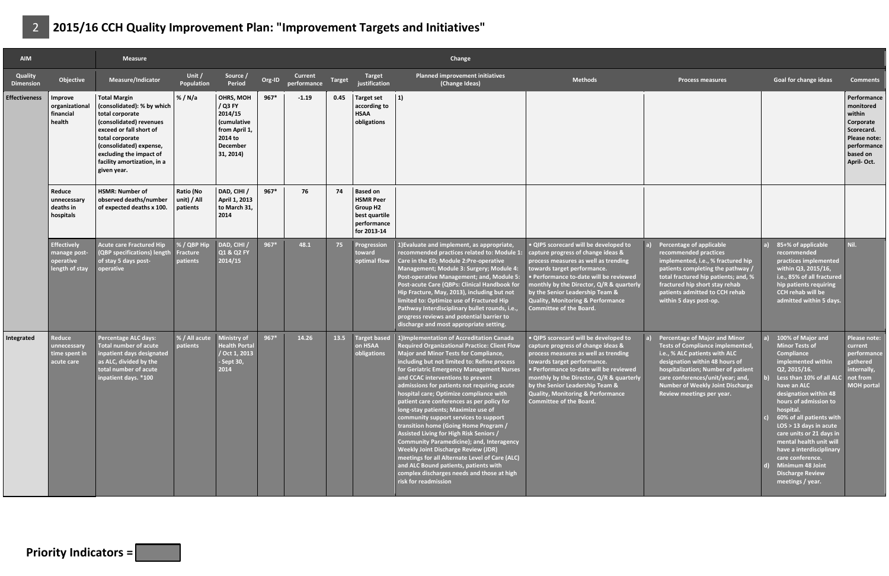| <b>AIM</b>                  |                                                                   | <b>Measure</b>                                                                                                                                                                                                                                    |                                            |                                                                                                     |        |                        |        |                                                                                                       | Change                                                                                                                                                                                                                                                                                                                                                                                                                                                                                                                                                                                                                                                                                                                                                                                                                                                      |                                                                                                                                                                                                                                                                                                                                                               |                                                                                                                                                                                                                                                                                               |                                                                                                                                                                                                                                                                                                                                                                                                                                                            |                                                                                                                        |
|-----------------------------|-------------------------------------------------------------------|---------------------------------------------------------------------------------------------------------------------------------------------------------------------------------------------------------------------------------------------------|--------------------------------------------|-----------------------------------------------------------------------------------------------------|--------|------------------------|--------|-------------------------------------------------------------------------------------------------------|-------------------------------------------------------------------------------------------------------------------------------------------------------------------------------------------------------------------------------------------------------------------------------------------------------------------------------------------------------------------------------------------------------------------------------------------------------------------------------------------------------------------------------------------------------------------------------------------------------------------------------------------------------------------------------------------------------------------------------------------------------------------------------------------------------------------------------------------------------------|---------------------------------------------------------------------------------------------------------------------------------------------------------------------------------------------------------------------------------------------------------------------------------------------------------------------------------------------------------------|-----------------------------------------------------------------------------------------------------------------------------------------------------------------------------------------------------------------------------------------------------------------------------------------------|------------------------------------------------------------------------------------------------------------------------------------------------------------------------------------------------------------------------------------------------------------------------------------------------------------------------------------------------------------------------------------------------------------------------------------------------------------|------------------------------------------------------------------------------------------------------------------------|
| Quality<br><b>Dimension</b> | Objective                                                         | Measure/Indicator                                                                                                                                                                                                                                 | Unit /<br>Population                       | Source /<br>Period                                                                                  | Org-ID | Current<br>performance | Target | Target<br>justification                                                                               | <b>Planned improvement initiatives</b><br>(Change Ideas)                                                                                                                                                                                                                                                                                                                                                                                                                                                                                                                                                                                                                                                                                                                                                                                                    | <b>Methods</b>                                                                                                                                                                                                                                                                                                                                                | <b>Process measures</b>                                                                                                                                                                                                                                                                       | <b>Goal for change ideas</b>                                                                                                                                                                                                                                                                                                                                                                                                                               | <b>Comments</b>                                                                                                        |
| <b>Effectiveness</b>        | Improve<br>organizational<br>financial<br>health                  | <b>Total Margin</b><br>(consolidated): % by which<br>total corporate<br>(consolidated) revenues<br>exceed or fall short of<br>total corporate<br>(consolidated) expense,<br>excluding the impact of<br>facility amortization, in a<br>given year. | %/N/a                                      | OHRS, MOH<br>/ Q3 FY<br>2014/15<br>(cumulative<br>from April 1,<br>2014 to<br>December<br>31, 2014) | 967*   | $-1.19$                | 0.45   | <b>Target set</b><br>according to<br><b>HSAA</b><br>obligations                                       | 1)                                                                                                                                                                                                                                                                                                                                                                                                                                                                                                                                                                                                                                                                                                                                                                                                                                                          |                                                                                                                                                                                                                                                                                                                                                               |                                                                                                                                                                                                                                                                                               |                                                                                                                                                                                                                                                                                                                                                                                                                                                            | Performance<br>monitored<br>within<br>Corporate<br>Scorecard.<br>Please note:<br>performance<br>based on<br>April-Oct. |
|                             | Reduce<br>unnecessary<br>deaths in<br>hospitals                   | <b>HSMR: Number of</b><br>observed deaths/number<br>of expected deaths x 100.                                                                                                                                                                     | Ratio (No<br>unit) / All<br>patients       | DAD, CIHI /<br>April 1, 2013<br>to March 31.<br>2014                                                | 967*   | 76                     | 74     | <b>Based on</b><br><b>HSMR Peer</b><br><b>Group H2</b><br>best quartile<br>performance<br>for 2013-14 |                                                                                                                                                                                                                                                                                                                                                                                                                                                                                                                                                                                                                                                                                                                                                                                                                                                             |                                                                                                                                                                                                                                                                                                                                                               |                                                                                                                                                                                                                                                                                               |                                                                                                                                                                                                                                                                                                                                                                                                                                                            |                                                                                                                        |
|                             | <b>Effectively</b><br>manage post-<br>operative<br>length of stay | <b>Acute care Fractured Hip</b><br>(QBP specifications) length<br>of stay 5 days post-<br>operative                                                                                                                                               | % / QBP Hip<br><b>Fracture</b><br>patients | DAD, CIHI /<br>Q1 & Q2 FY<br>2014/15                                                                | $967*$ | 48.1                   | 75     | Progression<br>toward<br>optimal flow                                                                 | 1) Evaluate and implement, as appropriate,<br>recommended practices related to: Module 1:<br>Care in the ED; Module 2:Pre-operative<br>Management; Module 3: Surgery; Module 4:<br>Post-operative Management; and, Module 5:<br>Post-acute Care (QBPs: Clinical Handbook for<br>Hip Fracture, May, 2013), including but not<br>imited to: Optimize use of Fractured Hip<br>Pathway Interdisciplinary bullet rounds, i.e.,<br>progress reviews and potential barrier to<br>discharge and most appropriate setting.                                                                                                                                                                                                                                                                                                                                           | · QIP5 scorecard will be developed to<br>capture progress of change ideas &<br>process measures as well as trending<br>towards target performance.<br>· Performance to-date will be reviewed<br>monthly by the Director, Q/R & quarterly<br>by the Senior Leadership Team &<br><b>Quality, Monitoring &amp; Performance</b><br><b>Committee of the Board.</b> | Percentage of applicable<br>recommended practices<br>implemented, i.e., % fractured hip<br>patients completing the pathway /<br>total fractured hip patients; and, %<br>fractured hip short stay rehab<br>patients admitted to CCH rehab<br>within 5 days post-op.                            | 85+% of applicable<br>recommended<br>practices implemented<br>within Q3, 2015/16,<br>i.e., 85% of all fractured<br>hip patients requiring<br><b>CCH rehab will be</b><br>admitted within 5 days.                                                                                                                                                                                                                                                           | Nil.                                                                                                                   |
| Integrated                  | Reduce<br><b>unnecessary</b><br>time spent in<br>acute care       | <b>Percentage ALC days:</b><br><b>Total number of acute</b><br>inpatient days designated<br>as ALC, divided by the<br>total number of acute<br>inpatient days. *100                                                                               | % / All acute<br>patients                  | Ministry of<br><b>Health Porta</b><br>Oct 1.2013<br>- Sept 30,<br>2014                              | $967*$ | 14.26                  | 13.5   | <b>Target based</b><br>on HSAA<br>obligations                                                         | 1) Implementation of Accreditation Canada<br><b>Required Organizational Practice: Client Flow</b><br>Major and Minor Tests for Compliance,<br>including but not limited to: Refine process<br>for Geriatric Emergency Management Nurses<br>and CCAC interventions to prevent<br>admissions for patients not requiring acute<br>hospital care; Optimize compliance with<br>patient care conferences as per policy for<br>long-stay patients; Maximize use of<br>community support services to support<br>transition home (Going Home Program /<br>Assisted Living for High Risk Seniors /<br><b>Community Paramedicine); and, Interagency</b><br><b>Weekly Joint Discharge Review (JDR)</b><br>meetings for all Alternate Level of Care (ALC)<br>and ALC Bound patients, patients with<br>complex discharges needs and those at high<br>risk for readmission | · QIP5 scorecard will be developed to<br>capture progress of change ideas &<br>process measures as well as trending<br>towards target performance.<br>· Performance to-date will be reviewed<br>monthly by the Director, Q/R & quarterly<br>by the Senior Leadership Team &<br><b>Quality, Monitoring &amp; Performance</b><br><b>Committee of the Board.</b> | <b>Percentage of Major and Minor</b><br>Tests of Compliance implemented,<br>i.e., % ALC patients with ALC<br>designation within 48 hours of<br>hospitalization; Number of patient<br>care conferences/unit/year; and,<br><b>Number of Weekly Joint Discharge</b><br>Review meetings per year. | 100% of Major and<br><b>Minor Tests of</b><br><b>Compliance</b><br>implemented within<br>Q2, 2015/16.<br>Less than 10% of all ALC not from<br>have an ALC<br>designation within 48<br>hours of admission to<br>hospital.<br>60% of all patients with<br>$LOS > 13$ days in acute<br>care units or 21 days in<br>mental health unit will<br>have a interdisciplinary<br>care conference.<br>Minimum 48 Joint<br><b>Discharge Review</b><br>meetings / year. | Please note:<br>current<br>performance<br>gathered<br>internally,<br><b>MOH portal</b>                                 |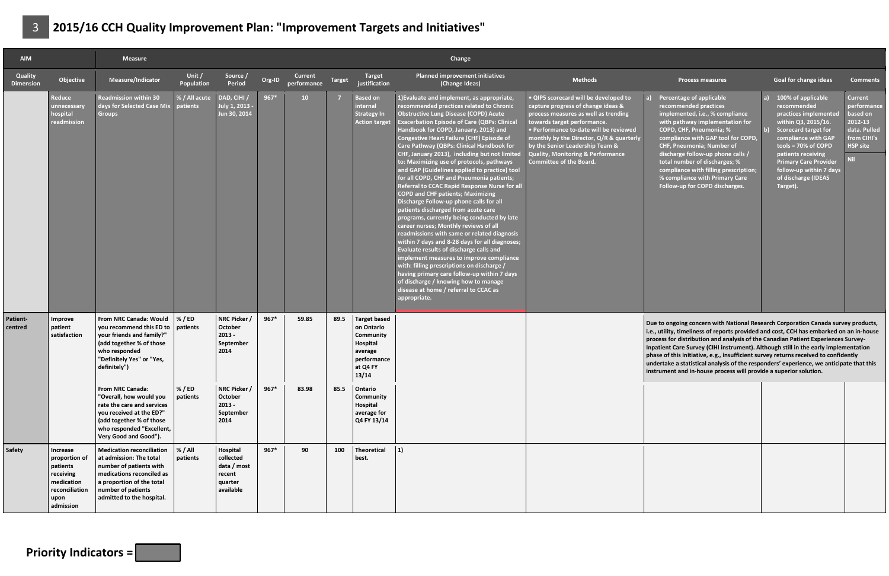| <b>AIM</b>                  |                                                                                                         | <b>Measure</b>                                                                                                                                                                                      |                      |                                                                        |        |                               |        |                                                                                                           | Change                                                                                                                                                                                                                                                                                                                                                                                                                                                                                                                                                                                                                                                                                                                                                                                                                                                                                                                                                                                                                                                                                                                                                                                                  |                                                                                                                                                                                                                                                                                                                                                               |                                                                                                                                                                                                                                                                                                                                                                                                                                                                                                                                                                                                                 |                                                                                                                                                                                                                                                                                       |                                                                                                        |
|-----------------------------|---------------------------------------------------------------------------------------------------------|-----------------------------------------------------------------------------------------------------------------------------------------------------------------------------------------------------|----------------------|------------------------------------------------------------------------|--------|-------------------------------|--------|-----------------------------------------------------------------------------------------------------------|---------------------------------------------------------------------------------------------------------------------------------------------------------------------------------------------------------------------------------------------------------------------------------------------------------------------------------------------------------------------------------------------------------------------------------------------------------------------------------------------------------------------------------------------------------------------------------------------------------------------------------------------------------------------------------------------------------------------------------------------------------------------------------------------------------------------------------------------------------------------------------------------------------------------------------------------------------------------------------------------------------------------------------------------------------------------------------------------------------------------------------------------------------------------------------------------------------|---------------------------------------------------------------------------------------------------------------------------------------------------------------------------------------------------------------------------------------------------------------------------------------------------------------------------------------------------------------|-----------------------------------------------------------------------------------------------------------------------------------------------------------------------------------------------------------------------------------------------------------------------------------------------------------------------------------------------------------------------------------------------------------------------------------------------------------------------------------------------------------------------------------------------------------------------------------------------------------------|---------------------------------------------------------------------------------------------------------------------------------------------------------------------------------------------------------------------------------------------------------------------------------------|--------------------------------------------------------------------------------------------------------|
| Quality<br><b>Dimension</b> | Objective                                                                                               | Measure/Indicator                                                                                                                                                                                   | Unit /<br>Population | Source /<br>Period                                                     | Org-ID | <b>Current</b><br>performance | Target | Target<br>justification                                                                                   | <b>Planned improvement initiatives</b><br>(Change Ideas)                                                                                                                                                                                                                                                                                                                                                                                                                                                                                                                                                                                                                                                                                                                                                                                                                                                                                                                                                                                                                                                                                                                                                | <b>Methods</b>                                                                                                                                                                                                                                                                                                                                                | <b>Process measures</b>                                                                                                                                                                                                                                                                                                                                                                                                                                                                                                                                                                                         | <b>Goal for change ideas</b>                                                                                                                                                                                                                                                          | <b>Comments</b>                                                                                        |
|                             | Reduce<br>unnecessary<br>hospital<br>readmission                                                        | <b>Readmission within 30</b><br>days for Selected Case Mix patients<br><b>Groups</b>                                                                                                                | % / All acute        | DAD, CIHI /<br>July 1, 2013 -<br>Jun 30, 2014                          | $967*$ | 10                            |        | <b>Based on</b><br>internal<br><b>Strategy In</b><br><b>Action target</b>                                 | 1) Evaluate and implement, as appropriate,<br>recommended practices related to Chronic<br><b>Obstructive Lung Disease (COPD) Acute</b><br><b>Exacerbation Episode of Care (QBPs: Clinical</b><br>Handbook for COPD, January, 2013) and<br><b>Congestive Heart Failure (CHF) Episode of</b><br>Care Pathway (QBPs: Clinical Handbook for<br>CHF, January 2013), including but not limited<br>to: Maximizing use of protocols, pathways<br>and GAP (Guidelines applied to practice) tool<br>for all COPD, CHF and Pneumonia patients;<br>Referral to CCAC Rapid Response Nurse for all<br><b>COPD and CHF patients; Maximizing</b><br>Discharge Follow-up phone calls for all<br>patients discharged from acute care<br>programs, currently being conducted by late<br>career nurses; Monthly reviews of all<br>readmissions with same or related diagnosis<br>within 7 days and 8-28 days for all diagnoses;<br><b>Evaluate results of discharge calls and</b><br>implement measures to improve compliance<br>with: filling prescriptions on discharge /<br>having primary care follow-up within 7 days<br>of discharge / knowing how to manage<br>disease at home / referral to CCAC as<br>appropriate. | . QIP5 scorecard will be developed to<br>capture progress of change ideas &<br>process measures as well as trending<br>towards target performance.<br>• Performance to-date will be reviewed<br>monthly by the Director, Q/R & quarterly<br>by the Senior Leadership Team &<br><b>Quality, Monitoring &amp; Performance</b><br><b>Committee of the Board.</b> | Percentage of applicable<br>recommended practices<br>implemented, i.e., % compliance<br>with pathway implementation for<br>COPD, CHF, Pneumonia; %<br>compliance with GAP tool for COPD,<br>CHF, Pneumonia; Number of<br>discharge follow-up phone calls /<br>total number of discharges; %<br>compliance with filling prescription;<br>% compliance with Primary Care<br>Follow-up for COPD discharges.                                                                                                                                                                                                        | 100% of applicable<br>recommended<br>practices implemented<br>within Q3, 2015/16.<br><b>Scorecard target for</b><br>compliance with GAP<br>tools = $70\%$ of COPD<br>patients receiving<br><b>Primary Care Provider</b><br>follow-up within 7 days<br>of discharge (IDEAS<br>Target). | <b>Current</b><br>performance<br>based on<br>2012-13<br>data. Pulled<br>from CIHI's<br><b>HSP site</b> |
| Patient-<br>centred         | Improve<br>patient<br>satisfaction                                                                      | From NRC Canada: Would<br>you recommend this ED to<br>your friends and family?"<br>(add together % of those<br>who responded<br>"Definitely Yes" or "Yes,<br>definitely")                           | % / ED<br>patients   | NRC Picker /<br>October<br>$2013 -$<br>September<br>2014               | $967*$ | 59.85                         | 89.5   | <b>Target based</b><br>on Ontario<br>Community<br>Hospital<br>average<br>performance<br>at Q4 FY<br>13/14 |                                                                                                                                                                                                                                                                                                                                                                                                                                                                                                                                                                                                                                                                                                                                                                                                                                                                                                                                                                                                                                                                                                                                                                                                         |                                                                                                                                                                                                                                                                                                                                                               | Due to ongoing concern with National Research Corporation Canada survey products,<br>i.e., utility, timeliness of reports provided and cost, CCH has embarked on an in-house<br>process for distribution and analysis of the Canadian Patient Experiences Survey-<br>Inpatient Care Survey (CIHI instrument). Although still in the early implementation<br>phase of this initiative, e.g., insufficient survey returns received to confidently<br>undertake a statistical analysis of the responders' experience, we anticipate that this<br>instrument and in-house process will provide a superior solution. |                                                                                                                                                                                                                                                                                       |                                                                                                        |
|                             |                                                                                                         | From NRC Canada:<br>"Overall, how would you<br>rate the care and services<br>you received at the ED?"<br>(add together % of those<br>who responded "Excellent,<br>Very Good and Good").             | % / ED<br>patients   | NRC Picker /<br>October<br>$2013 -$<br>September<br>2014               | $967*$ | 83.98                         | 85.5   | Ontario<br>Community<br>Hospital<br>average for<br>Q4 FY 13/14                                            |                                                                                                                                                                                                                                                                                                                                                                                                                                                                                                                                                                                                                                                                                                                                                                                                                                                                                                                                                                                                                                                                                                                                                                                                         |                                                                                                                                                                                                                                                                                                                                                               |                                                                                                                                                                                                                                                                                                                                                                                                                                                                                                                                                                                                                 |                                                                                                                                                                                                                                                                                       |                                                                                                        |
| Safety                      | Increase<br>proportion of<br>patients<br>receiving<br>medication<br>reconciliation<br>upon<br>admission | <b>Medication reconciliation</b><br>at admission: The total<br>number of patients with<br>medications reconciled as<br>a proportion of the total<br>number of patients<br>admitted to the hospital. | % / All<br>patients  | Hospital<br>collected<br>data / most<br>recent<br>quarter<br>available | 967*   | 90                            | 100    | Theoretical<br>best.                                                                                      | 1)                                                                                                                                                                                                                                                                                                                                                                                                                                                                                                                                                                                                                                                                                                                                                                                                                                                                                                                                                                                                                                                                                                                                                                                                      |                                                                                                                                                                                                                                                                                                                                                               |                                                                                                                                                                                                                                                                                                                                                                                                                                                                                                                                                                                                                 |                                                                                                                                                                                                                                                                                       |                                                                                                        |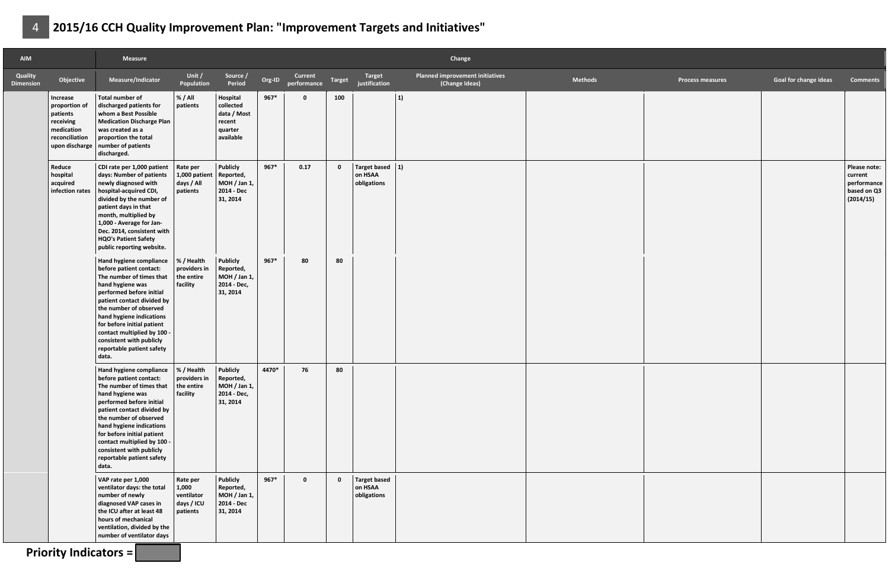| <b>AIM</b>                  |                                                                                                      | Measure                                                                                                                                                                                                                                                                                                                                                        |                                                           |                                                                         |        |                               |              |                                               | Change                                            |                |                         |                              |                                                                    |
|-----------------------------|------------------------------------------------------------------------------------------------------|----------------------------------------------------------------------------------------------------------------------------------------------------------------------------------------------------------------------------------------------------------------------------------------------------------------------------------------------------------------|-----------------------------------------------------------|-------------------------------------------------------------------------|--------|-------------------------------|--------------|-----------------------------------------------|---------------------------------------------------|----------------|-------------------------|------------------------------|--------------------------------------------------------------------|
| Quality<br><b>Dimension</b> | Objective                                                                                            | Measure/Indicator                                                                                                                                                                                                                                                                                                                                              | Unit /<br>Population                                      | Source /<br>Period                                                      | Org-ID | <b>Current</b><br>performance | Target       | Target<br>justification                       | Planned improvement initiatives<br>(Change Ideas) | <b>Methods</b> | <b>Process measures</b> | <b>Goal for change ideas</b> | <b>Comments</b>                                                    |
|                             | Increase<br>proportion of<br>patients<br>receiving<br>medication<br>reconciliation<br>upon discharge | <b>Total number of</b><br>discharged patients for<br>whom a Best Possible<br><b>Medication Discharge Plan</b><br>was created as a<br>proportion the total<br>number of patients<br>discharged.                                                                                                                                                                 | % / All<br>patients                                       | Hospital<br>collected<br>data / Most<br>recent<br>quarter<br>available  | $967*$ | $\Omega$                      | 100          |                                               | 1)                                                |                |                         |                              |                                                                    |
|                             | Reduce<br>hospital<br>acquired<br>infection rates                                                    | CDI rate per 1,000 patient<br>days: Number of patients<br>newly diagnosed with<br>hospital-acquired CDI,<br>divided by the number of<br>patient days in that<br>month, multiplied by<br>1,000 - Average for Jan-<br>Dec. 2014, consistent with<br>HQO's Patient Safety<br>public reporting website.                                                            | Rate per<br>1,000 patient<br>days / All<br>patients       | Publicly<br>Reported,<br>MOH / Jan 1,<br>2014 - Dec<br>31, 2014         | $967*$ | 0.17                          | $\mathbf{0}$ | Target based $ 1$ )<br>on HSAA<br>obligations |                                                   |                |                         |                              | Please note:<br>current<br>performance<br>based on Q3<br>(2014/15) |
|                             |                                                                                                      | Hand hygiene compliance<br>before patient contact:<br>The number of times that<br>hand hygiene was<br>performed before initial<br>patient contact divided by<br>the number of observed<br>hand hygiene indications<br>for before initial patient<br>contact multiplied by 100 -<br>consistent with publicly<br>reportable patient safety<br>data.              | % / Health<br>providers in<br>the entire<br>facility      | <b>Publicly</b><br>Reported,<br>MOH / Jan 1,<br>2014 - Dec,<br>31, 2014 | $967*$ | 80                            | 80           |                                               |                                                   |                |                         |                              |                                                                    |
|                             |                                                                                                      | Hand hygiene compliance   % / Health<br>before patient contact:<br>The number of times that<br>hand hygiene was<br>performed before initial<br>patient contact divided by<br>the number of observed<br>hand hygiene indications<br>for before initial patient<br>contact multiplied by 100 -<br>consistent with publicly<br>reportable patient safety<br>data. | providers in<br>the entire<br>facility                    | <b>Publicly</b><br>Reported,<br>MOH / Jan 1,<br>2014 - Dec,<br>31, 2014 | 4470*  | 76                            | 80           |                                               |                                                   |                |                         |                              |                                                                    |
|                             |                                                                                                      | VAP rate per 1,000<br>ventilator days: the total<br>number of newly<br>diagnosed VAP cases in<br>the ICU after at least 48<br>hours of mechanical<br>ventilation, divided by the<br>number of ventilator days                                                                                                                                                  | Rate per<br>1,000<br>ventilator<br>days / ICU<br>patients | <b>Publicly</b><br>Reported,<br>MOH / Jan 1,<br>2014 - Dec<br>31, 2014  | $967*$ | $\mathbf 0$                   | $\mathbf{0}$ | Target based<br>on HSAA<br>obligations        |                                                   |                |                         |                              |                                                                    |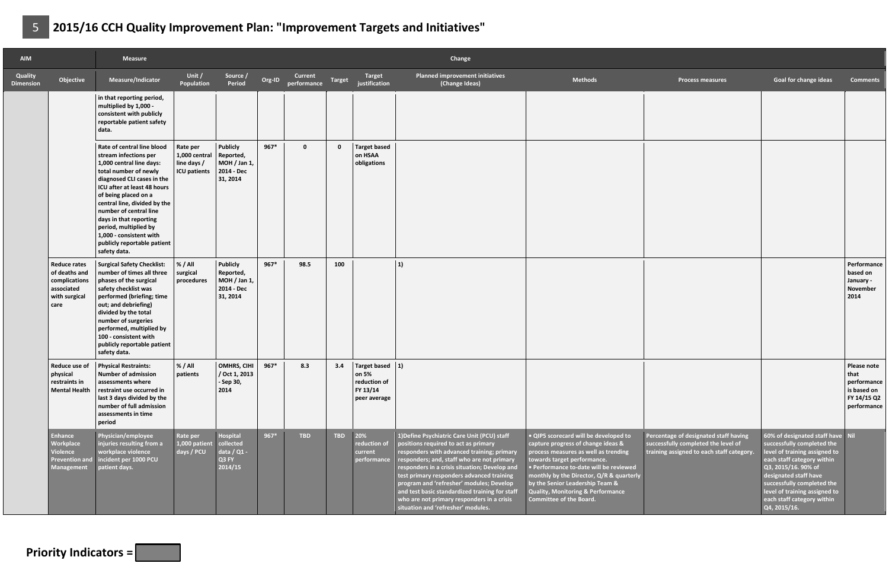| <b>AIM</b>                         |                                                                                              | <b>Measure</b>                                                                                                                                                                                                                                                                                                                                                                       |                                                                 |                                                                        |        |                        |              |                                                                          | Change                                                                                                                                                                                                                                                                                                                                                                                                                                                          |                                                                                                                                                                                                                                                                                                                                                        |                                                                                                                           |                                                                                                                                                                                                                                                                                            |                                                                                 |
|------------------------------------|----------------------------------------------------------------------------------------------|--------------------------------------------------------------------------------------------------------------------------------------------------------------------------------------------------------------------------------------------------------------------------------------------------------------------------------------------------------------------------------------|-----------------------------------------------------------------|------------------------------------------------------------------------|--------|------------------------|--------------|--------------------------------------------------------------------------|-----------------------------------------------------------------------------------------------------------------------------------------------------------------------------------------------------------------------------------------------------------------------------------------------------------------------------------------------------------------------------------------------------------------------------------------------------------------|--------------------------------------------------------------------------------------------------------------------------------------------------------------------------------------------------------------------------------------------------------------------------------------------------------------------------------------------------------|---------------------------------------------------------------------------------------------------------------------------|--------------------------------------------------------------------------------------------------------------------------------------------------------------------------------------------------------------------------------------------------------------------------------------------|---------------------------------------------------------------------------------|
| <b>Quality</b><br><b>Dimension</b> | Objective                                                                                    | Measure/Indicator                                                                                                                                                                                                                                                                                                                                                                    | Unit /<br>Population                                            | Source /<br>Period                                                     | Org-ID | Current<br>performance | Target       | Target<br>justification                                                  | <b>Planned improvement initiatives</b><br>(Change Ideas)                                                                                                                                                                                                                                                                                                                                                                                                        | <b>Methods</b>                                                                                                                                                                                                                                                                                                                                         | <b>Process measures</b>                                                                                                   | <b>Goal for change ideas</b>                                                                                                                                                                                                                                                               | <b>Comments</b>                                                                 |
|                                    |                                                                                              | in that reporting period,<br>multiplied by 1,000 -<br>consistent with publicly<br>reportable patient safety<br>data.                                                                                                                                                                                                                                                                 |                                                                 |                                                                        |        |                        |              |                                                                          |                                                                                                                                                                                                                                                                                                                                                                                                                                                                 |                                                                                                                                                                                                                                                                                                                                                        |                                                                                                                           |                                                                                                                                                                                                                                                                                            |                                                                                 |
|                                    |                                                                                              | Rate of central line blood<br>stream infections per<br>1,000 central line days:<br>total number of newly<br>diagnosed CLI cases in the<br>ICU after at least 48 hours<br>of being placed on a<br>central line, divided by the<br>number of central line<br>days in that reporting<br>period, multiplied by<br>1,000 - consistent with<br>publicly reportable patient<br>safety data. | Rate per<br>1,000 central<br>line days /<br><b>ICU</b> patients | <b>Publicly</b><br>Reported,<br>MOH / Jan 1,<br>2014 - Dec<br>31, 2014 | $967*$ | $\mathbf 0$            | $\mathbf{0}$ | <b>Target based</b><br>on HSAA<br>obligations                            |                                                                                                                                                                                                                                                                                                                                                                                                                                                                 |                                                                                                                                                                                                                                                                                                                                                        |                                                                                                                           |                                                                                                                                                                                                                                                                                            |                                                                                 |
|                                    | <b>Reduce rates</b><br>of deaths and<br>complications<br>associated<br>with surgical<br>care | <b>Surgical Safety Checklist:</b><br>number of times all three<br>phases of the surgical<br>safety checklist was<br>performed (briefing; time<br>out; and debriefing)<br>divided by the total<br>number of surgeries<br>performed, multiplied by<br>100 - consistent with<br>publicly reportable patient<br>safety data.                                                             | % / All<br>surgical<br>procedures                               | <b>Publicly</b><br>Reported,<br>MOH / Jan 1,<br>2014 - Dec<br>31, 2014 | $967*$ | 98.5                   | 100          |                                                                          | 1)                                                                                                                                                                                                                                                                                                                                                                                                                                                              |                                                                                                                                                                                                                                                                                                                                                        |                                                                                                                           |                                                                                                                                                                                                                                                                                            | Performance<br>based on<br>January -<br>November<br>2014                        |
|                                    | Reduce use of<br>physical<br>restraints in<br><b>Mental Health</b>                           | <b>Physical Restraints:</b><br>Number of admission<br>assessments where<br>restraint use occurred in<br>last 3 days divided by the<br>number of full admission<br>assessments in time<br>period                                                                                                                                                                                      | % / All<br>patients                                             | OMHRS, CIHI<br>/ Oct 1, 2013<br>- Sep 30,<br>2014                      | $967*$ | 8.3                    | 3.4          | Target based $ 1$ )<br>on 5%<br>reduction of<br>FY 13/14<br>peer average |                                                                                                                                                                                                                                                                                                                                                                                                                                                                 |                                                                                                                                                                                                                                                                                                                                                        |                                                                                                                           |                                                                                                                                                                                                                                                                                            | Please note<br>that<br>performance<br>is based on<br>FY 14/15 Q2<br>performance |
|                                    | Enhance<br>Workplace<br>Violence<br><b>Prevention and</b><br><b>Management</b>               | Physician/employee<br>injuries resulting from a<br>workplace violence<br>incident per 1000 PCU<br>patient days.                                                                                                                                                                                                                                                                      | Rate per<br>1,000 patient<br>days / PCU                         | Hospital<br>collected<br>data / Q1 -<br>Q3 FY<br>2014/15               | $967*$ | <b>TBD</b>             | <b>TBD</b>   | 20%<br>reduction of<br>current<br>performance                            | 1) Define Psychiatric Care Unit (PCU) staff<br>positions required to act as primary<br>responders with advanced training; primary<br>responders; and, staff who are not primary<br>responders in a crisis situation; Develop and<br>test primary responders advanced training<br>program and 'refresher' modules; Develop<br>and test basic standardized training for staff<br>who are not primary responders in a crisis<br>situation and 'refresher' modules. | . QIP5 scorecard will be developed to<br>capture progress of change ideas &<br>process measures as well as trending<br>towards target performance.<br>· Performance to-date will be reviewed<br>monthly by the Director, Q/R & quarterly<br>by the Senior Leadership Team &<br><b>Quality, Monitoring &amp; Performance</b><br>Committee of the Board. | Percentage of designated staff having<br>successfully completed the level of<br>training assigned to each staff category. | 60% of designated staff have Nil<br>successfully completed the<br>level of training assigned to<br>each staff category within<br>Q3, 2015/16. 90% of<br>designated staff have<br>successfully completed the<br>level of training assigned to<br>each staff category within<br>Q4, 2015/16. |                                                                                 |